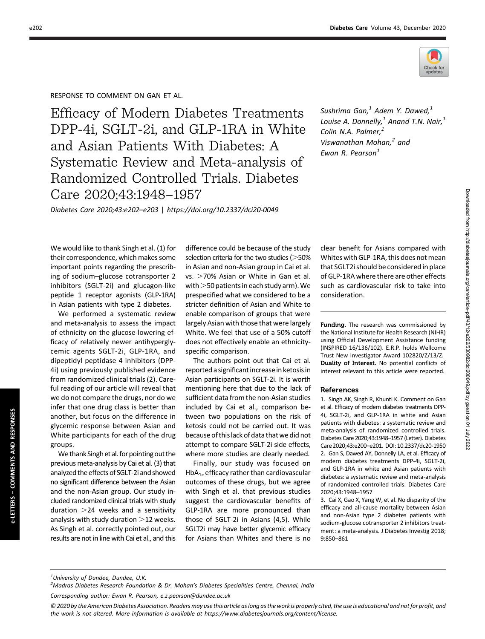

Downloaded from http://diabetesjournals.org/care/article-pdf/43/12/e202/530982/dc/200049.pdf by guest on 01 July 2022 Downloaded from http://diabetesjournals.org/care/article-pdf/43/12/e202/530982/dci200049.pdf by guest on 01 July 2022

## RESPONSE TO COMMENT ON GAN ET AL.

Efficacy of Modern Diabetes Treatments DPP-4i, SGLT-2i, and GLP-1RA in White and Asian Patients With Diabetes: A Systematic Review and Meta-analysis of Randomized Controlled Trials. Diabetes Care 2020;43:1948–1957

Sushrima Gan, $<sup>1</sup>$  Adem Y. Dawed, $<sup>1</sup>$ </sup></sup> Louise A. Donnelly, $^1$  Anand T.N. Nair, $^1$ Colin N.A. Palmer. $<sup>1</sup>$ </sup> Viswanathan Mohan, $<sup>2</sup>$  and</sup> Ewan R. Pearson $<sup>1</sup>$ </sup>

Diabetes Care 2020;43:e202–e203 | <https://doi.org/10.2337/dci20-0049>

We would like to thank Singh et al. (1) for their correspondence, which makes some important points regarding the prescribing of sodium–glucose cotransporter 2 inhibitors (SGLT-2i) and glucagon-like peptide 1 receptor agonists (GLP-1RA) in Asian patients with type 2 diabetes.

We performed a systematic review and meta-analysis to assess the impact of ethnicity on the glucose-lowering efficacy of relatively newer antihyperglycemic agents SGLT-2i, GLP-1RA, and dipeptidyl peptidase 4 inhibitors (DPP-4i) using previously published evidence from randomized clinical trials (2). Careful reading of our article will reveal that we do not compare the drugs, nor do we infer that one drug class is better than another, but focus on the difference in glycemic response between Asian and White participants for each of the drug groups.

We thank Singh et al. for pointing out the previous meta-analysis by Cai et al. (3) that analyzed the effects of SGLT-2i and showed no significant difference between the Asian and the non-Asian group. Our study included randomized clinical trials with study duration  $>$ 24 weeks and a sensitivity analysis with study duration  $>$ 12 weeks. As Singh et al. correctly pointed out, our results are not in line with Cai et al., and this

difference could be because of the study selection criteria for the two studies ( $>$ 50% in Asian and non-Asian group in Cai et al.  $vs. >70\%$  Asian or White in Gan et al. with  $>$  50 patients in each study arm). We prespecified what we considered to be a stricter definition of Asian and White to enable comparison of groups that were largely Asian with those that were largely White. We feel that use of a 50% cutoff does not effectively enable an ethnicityspecific comparison.

The authors point out that Cai et al. reported a significant increase in ketosis in Asian participants on SGLT-2i. It is worth mentioning here that due to the lack of sufficient data from the non-Asian studies included by Cai et al., comparison between two populations on the risk of ketosis could not be carried out. It was because of this lack of data that we did not attempt to compare SGLT-2i side effects, where more studies are clearly needed.

Finally, our study was focused on  $HbA<sub>1c</sub>$  efficacy rather than cardiovascular outcomes of these drugs, but we agree with Singh et al. that previous studies suggest the cardiovascular benefits of GLP-1RA are more pronounced than those of SGLT-2i in Asians (4,5). While SGLT2i may have better glycemic efficacy for Asians than Whites and there is no

clear benefit for Asians compared with Whites with GLP-1RA, this does not mean that SGLT2i should be considered in place of GLP-1RA where there are other effects such as cardiovascular risk to take into consideration.

Funding. The research was commissioned by the National Institute for Health Research (NIHR) using Official Development Assistance funding (INSPIRED 16/136/102). E.R.P. holds Wellcome Trust New Investigator Award 102820/Z/13/Z. Duality of Interest. No potential conflicts of interest relevant to this article were reported.

## References

1. Singh AK, Singh R, Khunti K. Comment on Gan et al. Efficacy of modern diabetes treatments DPP-4i, SGLT-2i, and GLP-1RA in white and Asian patients with diabetes: a systematic review and meta-analysis of randomized controlled trials. Diabetes Care 2020;43:1948–1957 (Letter). Diabetes Care 2020;43:e200–e201. DOI: 10.2337/dc20-1950 2. Gan S, Dawed AY, Donnelly LA, et al. Efficacy of modern diabetes treatments DPP-4i, SGLT-2i, and GLP-1RA in white and Asian patients with diabetes: a systematic review and meta-analysis of randomized controlled trials. Diabetes Care 2020;43:1948–1957

3. Cai X, Gao X, Yang W, et al. No disparity of the efficacy and all-cause mortality between Asian and non-Asian type 2 diabetes patients with sodium-glucose cotransporter 2 inhibitors treatment: a meta-analysis. J Diabetes Investig 2018; 9:850–861

e-LETTERS – COMMENTS AND RESPONSES

e-LETTERS - COMMENTS

AND RESPONSES

<sup>&</sup>lt;sup>2</sup> Madras Diabetes Research Foundation & Dr. Mohan's Diabetes Specialities Centre, Chennai, India

Corresponding author: Ewan R. Pearson, [e.z.pearson@dundee.ac.uk](mailto:e.z.pearson@dundee.ac.uk)

<sup>© 2020</sup> by the American Diabetes Association. Readers may use this article as long as the work is properly cited, the use is educational and not for profit, and the work is not altered. More information is available at [https://www.diabetesjournals.org/content/license.](https://www.diabetesjournals.org/content/license)